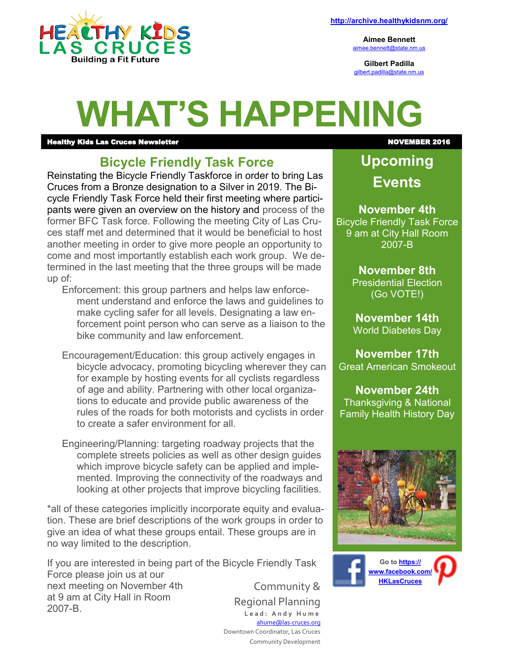

**Aimee Bennett** [aimee.bennett@state.nm.us](mailto:aimee.bennett@state.nm.us)

**Gilbert Padilla** [gilbert.padilla@state.nm.us](mailto:gilbert.padilla@state.nm.us)

# **WHAT'S HAPPENING**

#### erthy Kids Las Cruces Newsletter November 2016 (November 2016)

## **Bicycle Friendly Task Force**

Reinstating the Bicycle Friendly Taskforce in order to bring Las Cruces from a Bronze designation to a Silver in 2019. The Bicycle Friendly Task Force held their first meeting where participants were given an overview on the history and process of the former BFC Task force. Following the meeting City of Las Cruces staff met and determined that it would be beneficial to host another meeting in order to give more people an opportunity to come and most importantly establish each work group. We determined in the last meeting that the three groups will be made up of:

Enforcement: this group partners and helps law enforcement understand and enforce the laws and guidelines to make cycling safer for all levels. Designating a law enforcement point person who can serve as a liaison to the bike community and law enforcement.

Encouragement/Education: this group actively engages in bicycle advocacy, promoting bicycling wherever they can for example by hosting events for all cyclists regardless of age and ability. Partnering with other local organizations to educate and provide public awareness of the rules of the roads for both motorists and cyclists in order to create a safer environment for all.

Engineering/Planning: targeting roadway projects that the complete streets policies as well as other design guides which improve bicycle safety can be applied and implemented. Improving the connectivity of the roadways and looking at other projects that improve bicycling facilities.

\*all of these categories implicitly incorporate equity and evaluation. These are brief descriptions of the work groups in order to give an idea of what these groups entail. These groups are in no way limited to the description.

If you are interested in being part of the Bicycle Friendly Task Force please join us at our next meeting on November 4th at 9 am at City Hall in Room 2007-B. Community & Regional Planning **L e a d : A n d y H u m e**

[ahume@las](mailto:ahume@las-cruces.org)-cruces.org

 Downtown Coordinator, Las Cruces Community Development

**Upcoming Events**

**November 4th** Bicycle Friendly Task Force 9 am at City Hall Room 2007-B

#### **November 8th**

Presidential Election (Go VOTE!)

**November 14th** World Diabetes Day

**November 17th** [Great American Smokeout](http://www.cancer.org/healthy/stayawayfromtobacco/greatamericansmokeout/index)

**November 24th** Thanksgiving & [National](http://www.hhs.gov/familyhistory/)  [Family Health History Day](http://www.hhs.gov/familyhistory/)



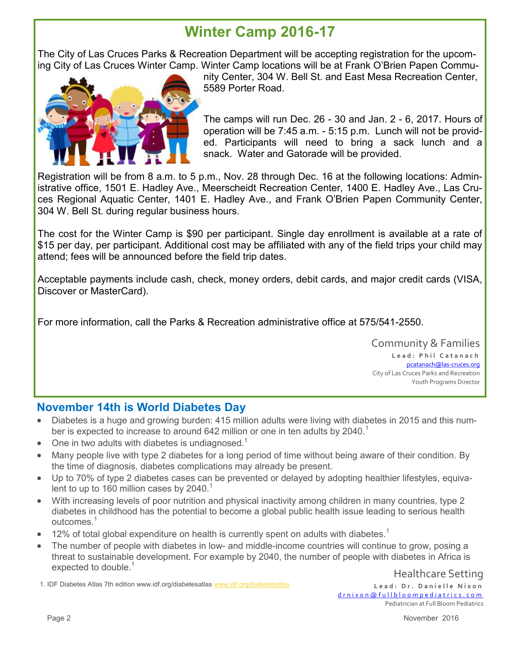## **Winter Camp 2016-17**

The City of Las Cruces Parks & Recreation Department will be accepting registration for the upcoming City of Las Cruces Winter Camp. Winter Camp locations will be at Frank O'Brien Papen Commu-



nity Center, 304 W. Bell St. and East Mesa Recreation Center, 5589 Porter Road.

The camps will run Dec. 26 - 30 and Jan. 2 - 6, 2017. Hours of operation will be 7:45 a.m. - 5:15 p.m. Lunch will not be provided. Participants will need to bring a sack lunch and a snack. Water and Gatorade will be provided.

Registration will be from 8 a.m. to 5 p.m., Nov. 28 through Dec. 16 at the following locations: Administrative office, 1501 E. Hadley Ave., Meerscheidt Recreation Center, 1400 E. Hadley Ave., Las Cruces Regional Aquatic Center, 1401 E. Hadley Ave., and Frank O'Brien Papen Community Center, 304 W. Bell St. during regular business hours.

The cost for the Winter Camp is \$90 per participant. Single day enrollment is available at a rate of \$15 per day, per participant. Additional cost may be affiliated with any of the field trips your child may attend; fees will be announced before the field trip dates.

Acceptable payments include cash, check, money orders, debit cards, and major credit cards (VISA, Discover or MasterCard).

For more information, call the Parks & Recreation administrative office at 575/541-2550.

Community & Families Lead: Phil Catanach [pcatanach@las](mailto:mjohnston@las-cruces.org)-cruces.org City of Las Cruces Parks and Recreation Youth Programs Director

### **November 14th is World Diabetes Day**

- Diabetes is a huge and growing burden: 415 million adults were living with diabetes in 2015 and this number is expected to increase to around 642 million or one in ten adults by 2040.<sup>1</sup>
- $\bullet$  One in two adults with diabetes is undiagnosed.<sup>1</sup>
- Many people live with type 2 diabetes for a long period of time without being aware of their condition. By the time of diagnosis, diabetes complications may already be present.
- Up to 70% of type 2 diabetes cases can be prevented or delayed by adopting healthier lifestyles, equivalent to up to 160 million cases by  $2040.<sup>1</sup>$
- With increasing levels of poor nutrition and physical inactivity among children in many countries, type 2 diabetes in childhood has the potential to become a global public health issue leading to serious health outcomes<sup>1</sup>
- 12% of total global expenditure on health is currently spent on adults with diabetes.<sup>1</sup>
- The number of people with diabetes in low- and middle-income countries will continue to grow, posing a threat to sustainable development. For example by 2040, the number of people with diabetes in Africa is expected to double.<sup>1</sup>

Healthcare Setting

1. IDF Diabetes Atlas 7th edition www.idf.org/diabetesatlas [www.idf.org/diabetesatlas](http://www.idf.org/diabetesatlas)